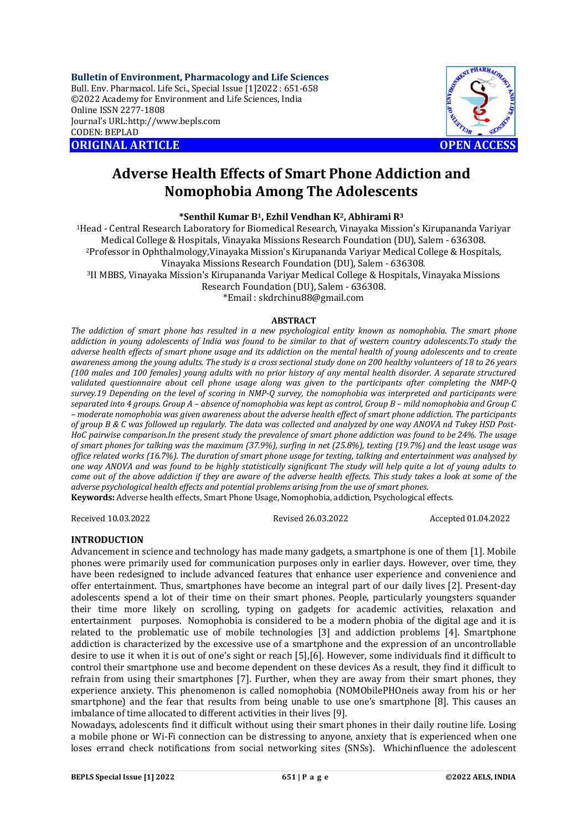**Bulletin of Environment, Pharmacology and Life Sciences** Bull. Env. Pharmacol. Life Sci., Special Issue [1]2022 : 651-658 ©2022 Academy for Environment and Life Sciences, India Online ISSN 2277-1808 Journal's URL:<http://www.bepls.com> CODEN: BEPLAD **ORIGINAL ARTICLE OPEN ACCESS** 



# **Adverse Health Effects of Smart Phone Addiction and Nomophobia Among The Adolescents**

**\*Senthil Kumar B1, Ezhil Vendhan K2, Abhirami R<sup>3</sup>**

<sup>1</sup>Head - Central Research Laboratory for Biomedical Research, Vinayaka Mission's Kirupananda Variyar Medical College & Hospitals, Vinayaka Missions Research Foundation (DU), Salem - 636308. <sup>2</sup>Professor in Ophthalmology,Vinayaka Mission's Kirupananda Variyar Medical College & Hospitals, Vinayaka Missions Research Foundation (DU), Salem - 636308. <sup>3</sup>II MBBS, Vinayaka Mission's Kirupananda Variyar Medical College & Hospitals, Vinayaka Missions Research Foundation (DU), Salem - 636308.

\*Email : [skdrchinu88@gmail.com](mailto:skdrchinu88@gmail.com)

#### **ABSTRACT**

*The addiction of smart phone has resulted in a new psychological entity known as nomophobia. The smart phone addiction in young adolescents of India was found to be similar to that of western country adolescents.To study the adverse health effects of smart phone usage and its addiction on the mental health of young adolescents and to create awareness among the young adults. The study is a cross sectional study done on 200 healthy volunteers of 18 to 26 years (100 males and 100 females) young adults with no prior history of any mental health disorder. A separate structured validated questionnaire about cell phone usage along was given to the participants after completing the NMP-Q survey.19 Depending on the level of scoring in NMP-Q survey, the nomophobia was interpreted and participants were separated into 4 groups. Group A – absence of nomophobia was kept as control, Group B – mild nomophobia and Group C – moderate nomophobia was given awareness about the adverse health effect of smart phone addiction. The participants of group B & C was followed up regularly. The data was collected and analyzed by one way ANOVA nd Tukey HSD Post-HoC pairwise comparison.In the present study the prevalence of smart phone addiction was found to be 24%. The usage of smart phones for talking was the maximum (37.9%), surfing in net (25.8%), texting (19.7%) and the least usage was office related works (16.7%). The duration of smart phone usage for texting, talking and entertainment was analysed by one way ANOVA and was found to be highly statistically significant The study will help quite a lot of young adults to come out of the above addiction if they are aware of the adverse health effects. This study takes a look at some of the adverse psychological health effects and potential problems arising from the use of smart phones.* 

**Keywords:** Adverse health effects, Smart Phone Usage, Nomophobia, addiction, Psychological effects.

Received 10.03.2022 Revised 26.03.2022 Accepted 01.04.2022

# **INTRODUCTION**

Advancement in science and technology has made many gadgets, a smartphone is one of them [1]. Mobile phones were primarily used for communication purposes only in earlier days. However, over time, they have been redesigned to include advanced features that enhance user experience and convenience and offer entertainment. Thus, smartphones have become an integral part of our daily lives [2]. Present-day adolescents spend a lot of their time on their smart phones. People, particularly youngsters squander their time more likely on scrolling, typing on gadgets for academic activities, relaxation and entertainment purposes. Nomophobia is considered to be a modern phobia of the digital age and it is related to the problematic use of mobile technologies [3] and addiction problems [4]. Smartphone addiction is characterized by the excessive use of a smartphone and the expression of an uncontrollable desire to use it when it is out of one's sight or reach [5],[6]. However, some individuals find it difficult to control their smartphone use and become dependent on these devices As a result, they find it difficult to refrain from using their smartphones [7]. Further, when they are away from their smart phones, they experience anxiety. This phenomenon is called nomophobia (NOMObilePHOneis away from his or her smartphone) and the fear that results from being unable to use one's smartphone [8]. This causes an imbalance of time allocated to different activities in their lives [9].

Nowadays, adolescents find it difficult without using their smart phones in their daily routine life. Losing a mobile phone or Wi-Fi connection can be distressing to anyone, anxiety that is experienced when one loses errand check notifications from social networking sites (SNSs). Whichinfluence the adolescent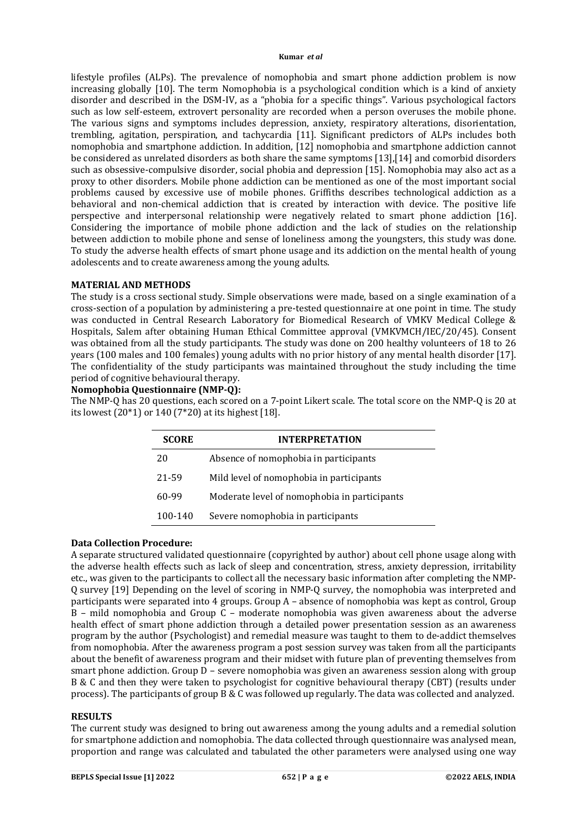lifestyle profiles (ALPs). The prevalence of nomophobia and smart phone addiction problem is now increasing globally [10]. The term Nomophobia is a psychological condition which is a kind of anxiety disorder and described in the DSM-IV, as a "phobia for a specific things". Various psychological factors such as low self-esteem, extrovert personality are recorded when a person overuses the mobile phone. The various signs and symptoms includes depression, anxiety, respiratory alterations, disorientation, trembling, agitation, perspiration, and tachycardia [11]. Significant predictors of ALPs includes both nomophobia and smartphone addiction. In addition, [12] nomophobia and smartphone addiction cannot be considered as unrelated disorders as both share the same symptoms [13],[14] and comorbid disorders such as obsessive-compulsive disorder, social phobia and depression [15]. Nomophobia may also act as a proxy to other disorders. Mobile phone addiction can be mentioned as one of the most important social problems caused by excessive use of mobile phones. Griffiths describes technological addiction as a behavioral and non-chemical addiction that is created by interaction with device. The positive life perspective and interpersonal relationship were negatively related to smart phone addiction [16]. Considering the importance of mobile phone addiction and the lack of studies on the relationship between addiction to mobile phone and sense of loneliness among the youngsters, this study was done. To study the adverse health effects of smart phone usage and its addiction on the mental health of young adolescents and to create awareness among the young adults.

#### **MATERIAL AND METHODS**

The study is a cross sectional study. Simple observations were made, based on a single examination of a cross-section of a population by administering a pre-tested questionnaire at one point in time. The study was conducted in Central Research Laboratory for Biomedical Research of VMKV Medical College & Hospitals, Salem after obtaining Human Ethical Committee approval (VMKVMCH/IEC/20/45). Consent was obtained from all the study participants. The study was done on 200 healthy volunteers of 18 to 26 years (100 males and 100 females) young adults with no prior history of any mental health disorder [17]. The confidentiality of the study participants was maintained throughout the study including the time period of cognitive behavioural therapy.

# **Nomophobia Questionnaire (NMP-Q):**

The NMP-Q has 20 questions, each scored on a 7-point Likert scale. The total score on the NMP-Q is 20 at its lowest (20\*1) or 140 (7\*20) at its highest [18].

| <b>SCORE</b> | <b>INTERPRETATION</b>                        |  |
|--------------|----------------------------------------------|--|
| 20           | Absence of nomophobia in participants        |  |
| 21-59        | Mild level of nomophobia in participants     |  |
| 60-99        | Moderate level of nomophobia in participants |  |
| 100-140      | Severe nomophobia in participants            |  |

#### **Data Collection Procedure:**

A separate structured validated questionnaire (copyrighted by author) about cell phone usage along with the adverse health effects such as lack of sleep and concentration, stress, anxiety depression, irritability etc., was given to the participants to collect all the necessary basic information after completing the NMP-Q survey [19] Depending on the level of scoring in NMP-Q survey, the nomophobia was interpreted and participants were separated into 4 groups. Group A – absence of nomophobia was kept as control, Group  $B$  – mild nomophobia and Group  $C$  – moderate nomophobia was given awareness about the adverse health effect of smart phone addiction through a detailed power presentation session as an awareness program by the author (Psychologist) and remedial measure was taught to them to de-addict themselves from nomophobia. After the awareness program a post session survey was taken from all the participants about the benefit of awareness program and their midset with future plan of preventing themselves from smart phone addiction. Group D – severe nomophobia was given an awareness session along with group B & C and then they were taken to psychologist for cognitive behavioural therapy (CBT) (results under process). The participants of group B & C was followed up regularly. The data was collected and analyzed.

#### **RESULTS**

The current study was designed to bring out awareness among the young adults and a remedial solution for smartphone addiction and nomophobia. The data collected through questionnaire was analysed mean, proportion and range was calculated and tabulated the other parameters were analysed using one way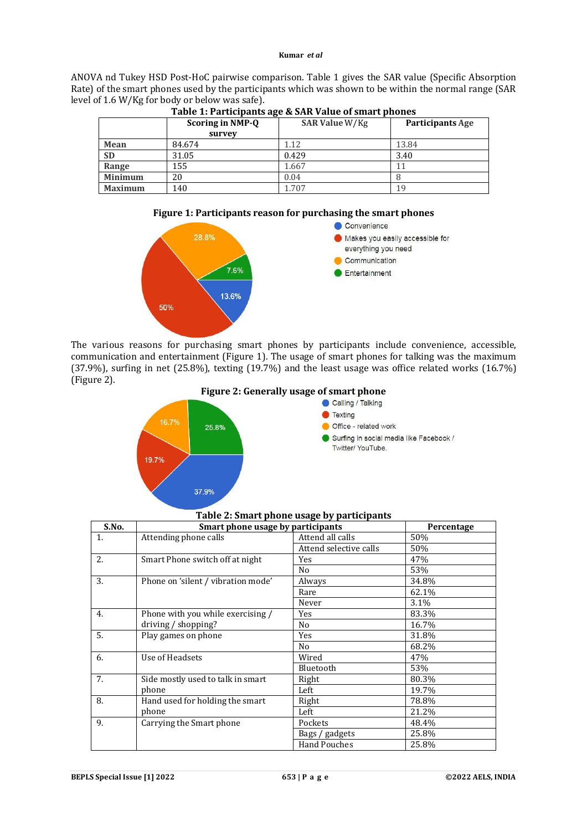ANOVA nd Tukey HSD Post-HoC pairwise comparison. Table 1 gives the SAR value (Specific Absorption Rate) of the smart phones used by the participants which was shown to be within the normal range (SAR level of 1.6 W/Kg for body or below was safe).

|                | <b>Scoring in NMP-Q</b> | SAR Value W/Kg | <b>Participants Age</b> |
|----------------|-------------------------|----------------|-------------------------|
|                | survey                  |                |                         |
| Mean           | 84.674                  | 1.12           | 13.84                   |
| <b>SD</b>      | 31.05                   | 0.429          | 3.40                    |
| Range          | 155                     | 1.667          |                         |
| <b>Minimum</b> | 20                      | 0.04           |                         |
| <b>Maximum</b> | 140                     | 1.707          | 19                      |

# **Table 1: Participants age & SAR Value of smart phones**





The various reasons for purchasing smart phones by participants include convenience, accessible, communication and entertainment (Figure 1). The usage of smart phones for talking was the maximum (37.9%), surfing in net (25.8%), texting (19.7%) and the least usage was office related works (16.7%) (Figure 2).



# **Figure 2: Generally usage of smart phone**<br>Calling / Talking



| S.No. | Smart phone usage by participants  |                        | Percentage |
|-------|------------------------------------|------------------------|------------|
| 1.    | Attending phone calls              | Attend all calls       | 50%        |
|       |                                    | Attend selective calls | 50%        |
| 2.    | Smart Phone switch off at night    | Yes                    | 47%        |
|       |                                    | No                     | 53%        |
| 3.    | Phone on 'silent / vibration mode' | Always                 | 34.8%      |
|       |                                    | Rare                   | 62.1%      |
|       |                                    | Never                  | 3.1%       |
| 4.    | Phone with you while exercising /  | Yes                    | 83.3%      |
|       | driving / shopping?                | No                     | 16.7%      |
| 5.    | Play games on phone                | Yes                    | 31.8%      |
|       |                                    | N <sub>0</sub>         | 68.2%      |
| 6.    | Use of Headsets                    | Wired                  | 47%        |
|       |                                    | Bluetooth              | 53%        |
| 7.    | Side mostly used to talk in smart  | Right                  | 80.3%      |
|       | phone                              | Left                   | 19.7%      |
| 8.    | Hand used for holding the smart    | Right                  | 78.8%      |
|       | phone                              | Left                   | 21.2%      |
| 9.    | Carrying the Smart phone           | Pockets                | 48.4%      |
|       |                                    | Bags / gadgets         | 25.8%      |
|       |                                    | <b>Hand Pouches</b>    | 25.8%      |

#### **Table 2: Smart phone usage by participants**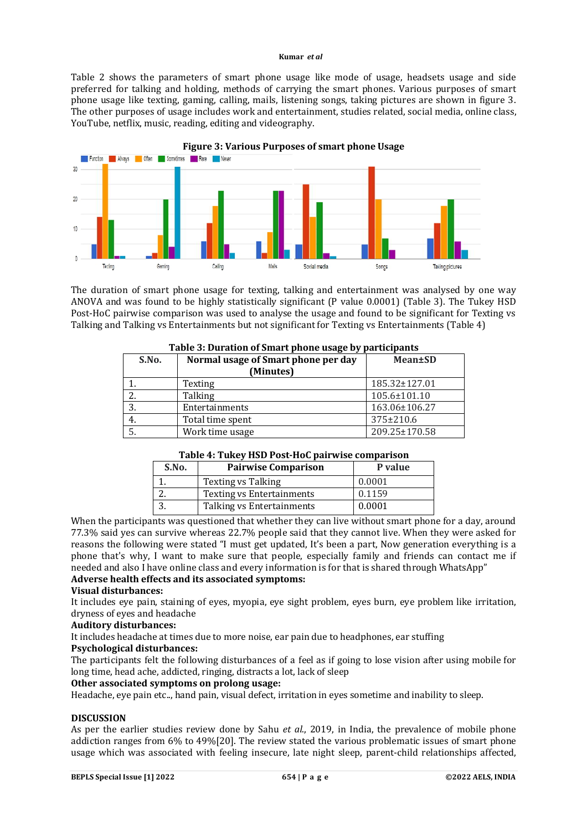Table 2 shows the parameters of smart phone usage like mode of usage, headsets usage and side preferred for talking and holding, methods of carrying the smart phones. Various purposes of smart phone usage like texting, gaming, calling, mails, listening songs, taking pictures are shown in figure 3. The other purposes of usage includes work and entertainment, studies related, social media, online class, YouTube, netflix, music, reading, editing and videography.



The duration of smart phone usage for texting, talking and entertainment was analysed by one way ANOVA and was found to be highly statistically significant (P value 0.0001) (Table 3). The Tukey HSD Post-HoC pairwise comparison was used to analyse the usage and found to be significant for Texting vs Talking and Talking vs Entertainments but not significant for Texting vs Entertainments (Table 4)

| S.No. | Normal usage of Smart phone per day<br>(Minutes) | <b>Mean</b> ±SD |
|-------|--------------------------------------------------|-----------------|
|       | Texting                                          | 185.32±127.01   |
|       | Talking                                          | 105.6±101.10    |
|       | Entertainments                                   | 163.06±106.27   |
| 4.    | Total time spent                                 | 375±210.6       |
|       | Work time usage                                  | 209.25±170.58   |

# **Table 3: Duration of Smart phone usage by participants**

# **Table 4: Tukey HSD Post-HoC pairwise comparison**

| S.No. | <b>Pairwise Comparison</b>       | P value |
|-------|----------------------------------|---------|
|       | <b>Texting vs Talking</b>        | 0.0001  |
|       | <b>Texting vs Entertainments</b> | 0.1159  |
|       | Talking vs Entertainments        | 0.0001  |

When the participants was questioned that whether they can live without smart phone for a day, around 77.3% said yes can survive whereas 22.7% people said that they cannot live. When they were asked for reasons the following were stated "I must get updated, It's been a part, Now generation everything is a phone that's why, I want to make sure that people, especially family and friends can contact me if needed and also I have online class and every information is for that is shared through WhatsApp" **Adverse health effects and its associated symptoms:** 

#### **Visual disturbances:**

It includes eye pain, staining of eyes, myopia, eye sight problem, eyes burn, eye problem like irritation, dryness of eyes and headache

#### **Auditory disturbances:**

It includes headache at times due to more noise, ear pain due to headphones, ear stuffing

#### **Psychological disturbances:**

The participants felt the following disturbances of a feel as if going to lose vision after using mobile for long time, head ache, addicted, ringing, distracts a lot, lack of sleep

## **Other associated symptoms on prolong usage:**

Headache, eye pain etc.., hand pain, visual defect, irritation in eyes sometime and inability to sleep.

# **DISCUSSION**

As per the earlier studies review done by Sahu *et al*., 2019, in India, the prevalence of mobile phone addiction ranges from 6% to 49%[20]. The review stated the various problematic issues of smart phone usage which was associated with feeling insecure, late night sleep, parent-child relationships affected,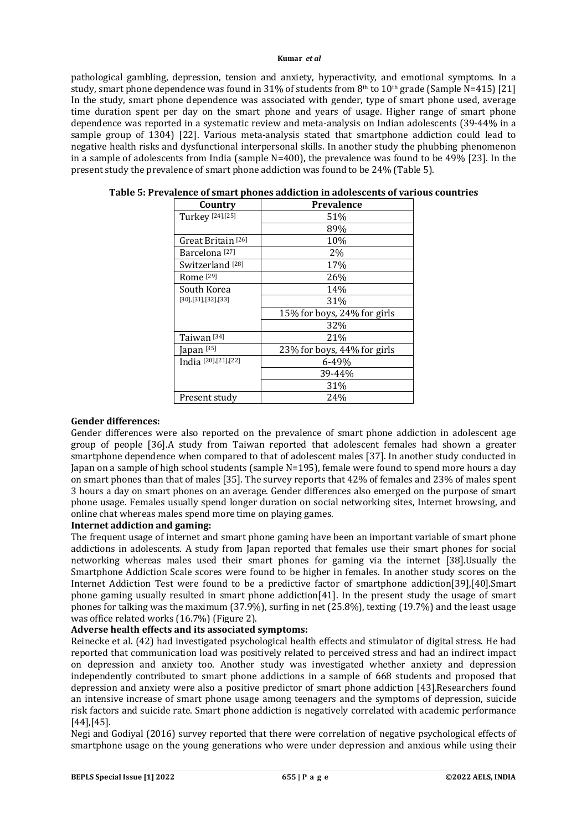pathological gambling, depression, tension and anxiety, hyperactivity, and emotional symptoms. In a study, smart phone dependence was found in 31% of students from  $8<sup>th</sup>$  to  $10<sup>th</sup>$  grade (Sample N=415) [21] In the study, smart phone dependence was associated with gender, type of smart phone used, average time duration spent per day on the smart phone and years of usage. Higher range of smart phone dependence was reported in a systematic review and meta-analysis on Indian adolescents (39-44% in a sample group of 1304) [22]. Various meta-analysis stated that smartphone addiction could lead to negative health risks and dysfunctional interpersonal skills. In another study the phubbing phenomenon in a sample of adolescents from India (sample N=400), the prevalence was found to be 49% [23]. In the present study the prevalence of smart phone addiction was found to be 24% (Table 5).

| Country                     | Prevalence                  |
|-----------------------------|-----------------------------|
| Turkey [24],[25]            | 51%                         |
|                             | 89%                         |
| Great Britain [26]          | 10%                         |
| Barcelona <sup>[27]</sup>   | 2%                          |
| Switzerland <sup>[28]</sup> | 17%                         |
| Rome <sup>[29]</sup>        | 26%                         |
| South Korea                 | 14%                         |
| [30],[31],[32],[33]         | 31%                         |
|                             | 15% for boys, 24% for girls |
|                             | 32%                         |
| Taiwan [34]                 | 21%                         |
| Japan <sup>[35]</sup>       | 23% for boys, 44% for girls |
| India [20], [21], [22]      | 6-49%                       |
|                             | 39-44%                      |
|                             | 31%                         |
| Present study               | 24%                         |

# **Table 5: Prevalence of smart phones addiction in adolescents of various countries**

#### **Gender differences:**

Gender differences were also reported on the prevalence of smart phone addiction in adolescent age group of people [36].A study from Taiwan reported that adolescent females had shown a greater smartphone dependence when compared to that of adolescent males [37]. In another study conducted in Japan on a sample of high school students (sample N=195), female were found to spend more hours a day on smart phones than that of males [35]. The survey reports that 42% of females and 23% of males spent 3 hours a day on smart phones on an average. Gender differences also emerged on the purpose of smart phone usage. Females usually spend longer duration on social networking sites, Internet browsing, and online chat whereas males spend more time on playing games.

# **Internet addiction and gaming:**

The frequent usage of internet and smart phone gaming have been an important variable of smart phone addictions in adolescents. A study from Japan reported that females use their smart phones for social networking whereas males used their smart phones for gaming via the internet [38].Usually the Smartphone Addiction Scale scores were found to be higher in females. In another study scores on the Internet Addiction Test were found to be a predictive factor of smartphone addiction[39],[40].Smart phone gaming usually resulted in smart phone addiction[41]. In the present study the usage of smart phones for talking was the maximum (37.9%), surfing in net (25.8%), texting (19.7%) and the least usage was office related works (16.7%) (Figure 2).

# **Adverse health effects and its associated symptoms:**

Reinecke et al. (42) had investigated psychological health effects and stimulator of digital stress. He had reported that communication load was positively related to perceived stress and had an indirect impact on depression and anxiety too. Another study was investigated whether anxiety and depression independently contributed to smart phone addictions in a sample of 668 students and proposed that depression and anxiety were also a positive predictor of smart phone addiction [43].Researchers found an intensive increase of smart phone usage among teenagers and the symptoms of depression, suicide risk factors and suicide rate. Smart phone addiction is negatively correlated with academic performance [44],[45].

Negi and Godiyal (2016) survey reported that there were correlation of negative psychological effects of smartphone usage on the young generations who were under depression and anxious while using their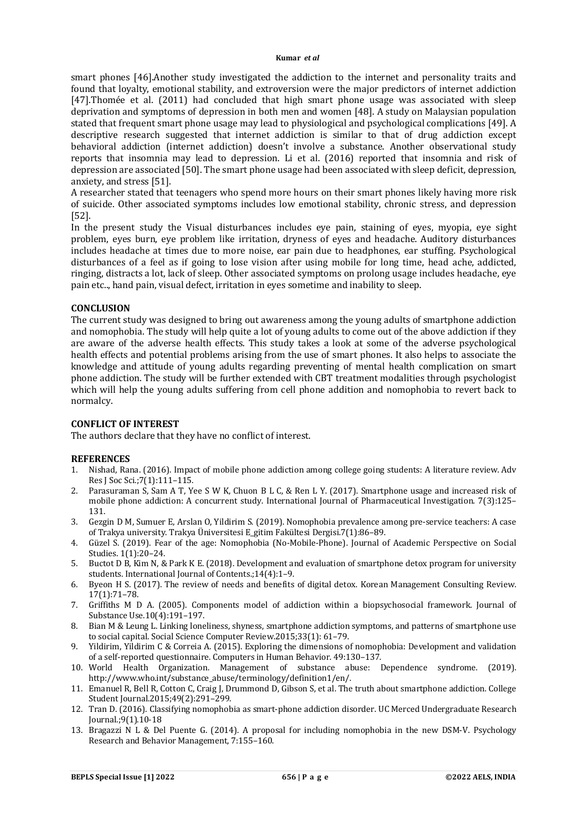smart phones [46].Another study investigated the addiction to the internet and personality traits and found that loyalty, emotional stability, and extroversion were the major predictors of internet addiction [47].Thomée et al. (2011) had concluded that high smart phone usage was associated with sleep deprivation and symptoms of depression in both men and women [48]. A study on Malaysian population stated that frequent smart phone usage may lead to physiological and psychological complications [49]. A descriptive research suggested that internet addiction is similar to that of drug addiction except behavioral addiction (internet addiction) doesn't involve a substance. Another observational study reports that insomnia may lead to depression. Li et al. (2016) reported that insomnia and risk of depression are associated [50]. The smart phone usage had been associated with sleep deficit, depression, anxiety, and stress [51].

A researcher stated that teenagers who spend more hours on their smart phones likely having more risk of suicide. Other associated symptoms includes low emotional stability, chronic stress, and depression [52].

In the present study the Visual disturbances includes eye pain, staining of eyes, myopia, eye sight problem, eyes burn, eye problem like irritation, dryness of eyes and headache. Auditory disturbances includes headache at times due to more noise, ear pain due to headphones, ear stuffing. Psychological disturbances of a feel as if going to lose vision after using mobile for long time, head ache, addicted, ringing, distracts a lot, lack of sleep. Other associated symptoms on prolong usage includes headache, eye pain etc.., hand pain, visual defect, irritation in eyes sometime and inability to sleep.

#### **CONCLUSION**

The current study was designed to bring out awareness among the young adults of smartphone addiction and nomophobia. The study will help quite a lot of young adults to come out of the above addiction if they are aware of the adverse health effects. This study takes a look at some of the adverse psychological health effects and potential problems arising from the use of smart phones. It also helps to associate the knowledge and attitude of young adults regarding preventing of mental health complication on smart phone addiction. The study will be further extended with CBT treatment modalities through psychologist which will help the young adults suffering from cell phone addition and nomophobia to revert back to normalcy.

#### **CONFLICT OF INTEREST**

The authors declare that they have no conflict of interest.

#### **REFERENCES**

- 1. Nishad, Rana. (2016). Impact of mobile phone addiction among college going students: A literature review. Adv Res J Soc Sci.;7(1):111–115.
- 2. Parasuraman S, Sam A T, Yee S W K, Chuon B L C, & Ren L Y. (2017). Smartphone usage and increased risk of mobile phone addiction: A concurrent study. International Journal of Pharmaceutical Investigation. 7(3):125– 131.
- 3. Gezgin D M, Sumuer E, Arslan O, Yildirim S. (2019). Nomophobia prevalence among pre-service teachers: A case of Trakya university. Trakya Üniversitesi E\_gitim Fakültesi Dergisi.7(1):86–89.
- 4. Güzel S. (2019). Fear of the age: Nomophobia (No-Mobile-Phone). Journal of Academic Perspective on Social Studies. 1(1):20–24.
- 5. Buctot D B, Kim N, & Park K E. (2018). Development and evaluation of smartphone detox program for university students. International Journal of Contents.;14(4):1–9.
- 6. Byeon H S. (2017). The review of needs and benefits of digital detox. Korean Management Consulting Review. 17(1):71–78.
- 7. Griffiths M D A. (2005). Components model of addiction within a biopsychosocial framework. Journal of Substance Use.10(4):191–197.
- 8. Bian M & Leung L. Linking loneliness, shyness, smartphone addiction symptoms, and patterns of smartphone use to social capital. Social Science Computer Review.2015;33(1): 61–79.
- 9. Yildirim, Yildirim C & Correia A. (2015). Exploring the dimensions of nomophobia: Development and validation of a self-reported questionnaire. Computers in Human Behavior. 49:130–137.
- 10. World Health Organization. Management of substance abuse: Dependence syndrome. (2019). [http://www.who.int/substance\\_abuse/terminology/definition1/en/.](http://www.who.int/substance_abuse/terminology/definition1/en/.)
- 11. Emanuel R, Bell R, Cotton C, Craig J, Drummond D, Gibson S, et al. The truth about smartphone addiction. College Student Journal.2015;49(2):291–299.
- 12. Tran D. (2016). Classifying nomophobia as smart-phone addiction disorder. UC Merced Undergraduate Research Journal.;9(1).10-18
- 13. Bragazzi N L & Del Puente G. (2014). A proposal for including nomophobia in the new DSM-V. Psychology Research and Behavior Management, 7:155–160.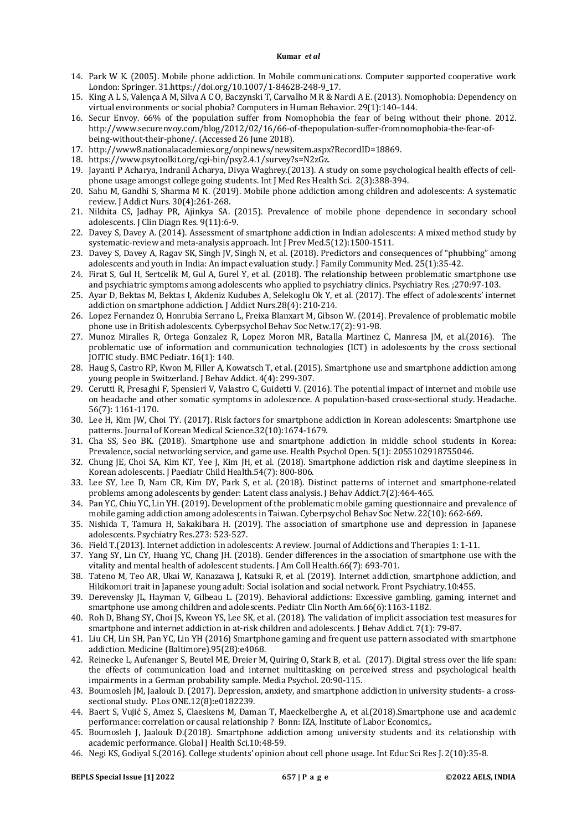- 14. Park W K. (2005). Mobile phone addiction. In Mobile communications. Computer supported cooperative work London: Springer. 31.[https://doi.org/10.1007/1-84628-248-9\\_17.](https://doi.org/10.1007/1-84628-248-9_17.)
- 15. King A L S, Valença A M, Silva A C O, Baczynski T, Carvalho M R & Nardi A E. (2013). Nomophobia: Dependency on virtual environments or social phobia? Computers in Human Behavior. 29(1):140–144.
- 16. Secur Envoy. 66% of the population suffer from Nomophobia the fear of being without their phone. 2012. [http://www.securenvoy.com/blog/2012/02/16/66-of-thepopulation-suffer-fromnomophobia-the-fear-of](http://www.securenvoy.com/blog/2012/02/16/66-of-thepopulation-suffer-fromnomophobia-the-fear-of-)being-without-their-phone/. (Accessed 26 June 2018).
- 17. <http://www8.nationalacademies.org/onpinews/newsitem.aspx?RecordID=18869.>
- 18. <https://www.psytoolkit.org/cgi-bin/psy2.4.1/survey?s=N2zGz.>
- 19. Jayanti P Acharya, Indranil Acharya, Divya Waghrey.(2013). A study on some psychological health effects of cellphone usage amongst college going students. Int J Med Res Health Sci. 2(3):388-394.
- 20. Sahu M, Gandhi S, Sharma M K. (2019). Mobile phone addiction among children and adolescents: A systematic review. J Addict Nurs. 30(4):261-268.
- 21. Nikhita CS, Jadhay PR, Ajinkya SA. (2015). Prevalence of mobile phone dependence in secondary school adolescents. J Clin Diagn Res. 9(11):6-9.
- 22. Davey S, Davey A. (2014). Assessment of smartphone addiction in Indian adolescents: A mixed method study by systematic-review and meta-analysis approach. Int J Prev Med.5(12):1500-1511.
- 23. Davey S, Davey A, Ragav SK, Singh JV, Singh N, et al. (2018). Predictors and consequences of "phubbing" among adolescents and youth in India: An impact evaluation study. J Family Community Med. 25(1):35-42.
- 24. Firat S, Gul H, Sertcelik M, Gul A, Gurel Y, et al. (2018). The relationship between problematic smartphone use and psychiatric symptoms among adolescents who applied to psychiatry clinics. Psychiatry Res. ;270:97-103.
- 25. Ayar D, Bektas M, Bektas I, Akdeniz Kudubes A, Selekoglu Ok Y, et al. (2017). The effect of adolescents' internet addiction on smartphone addiction. J Addict Nurs.28(4): 210-214.
- 26. Lopez Fernandez O, Honrubia Serrano L, Freixa Blanxart M, Gibson W. (2014). Prevalence of problematic mobile phone use in British adolescents. Cyberpsychol Behav Soc Netw.17(2): 91-98.
- 27. Munoz Miralles R, Ortega Gonzalez R, Lopez Moron MR, Batalla Martinez C, Manresa JM, et al.(2016). The problematic use of information and communication technologies (ICT) in adolescents by the cross sectional JOITIC study. BMC Pediatr. 16(1): 140.
- 28. Haug S, Castro RP, Kwon M, Filler A, Kowatsch T, et al. (2015). Smartphone use and smartphone addiction among young people in Switzerland. J Behav Addict. 4(4): 299-307.
- 29. Cerutti R, Presaghi F, Spensieri V, Valastro C, Guidetti V. (2016). The potential impact of internet and mobile use on headache and other somatic symptoms in adolescence. A population-based cross-sectional study. Headache. 56(7): 1161-1170.
- 30. Lee H, Kim JW, Choi TY. (2017). Risk factors for smartphone addiction in Korean adolescents: Smartphone use patterns. Journal of Korean Medical Science.32(10):1674-1679.
- 31. Cha SS, Seo BK. (2018). Smartphone use and smartphone addiction in middle school students in Korea: Prevalence, social networking service, and game use. Health Psychol Open. 5(1): 2055102918755046.
- 32. Chung JE, Choi SA, Kim KT, Yee J, Kim JH, et al. (2018). Smartphone addiction risk and daytime sleepiness in Korean adolescents. J Paediatr Child Health.54(7): 800-806.
- 33. Lee SY, Lee D, Nam CR, Kim DY, Park S, et al. (2018). Distinct patterns of internet and smartphone-related problems among adolescents by gender: Latent class analysis. J Behav Addict.7(2):464-465.
- 34. Pan YC, Chiu YC, Lin YH. (2019). Development of the problematic mobile gaming questionnaire and prevalence of mobile gaming addiction among adolescents in Taiwan. Cyberpsychol Behav Soc Netw. 22(10): 662-669.
- 35. Nishida T, Tamura H, Sakakibara H. (2019). The association of smartphone use and depression in Japanese adolescents. Psychiatry Res.273: 523-527.
- 36. Field T.(2013). Internet addiction in adolescents: A review. Journal of Addictions and Therapies 1: 1-11.
- 37. Yang SY, Lin CY, Huang YC, Chang JH. (2018). Gender differences in the association of smartphone use with the vitality and mental health of adolescent students. J Am Coll Health.66(7): 693-701.
- 38. Tateno M, Teo AR, Ukai W, Kanazawa J, Katsuki R, et al. (2019). Internet addiction, smartphone addiction, and Hikikomori trait in Japanese young adult: Social isolation and social network. Front Psychiatry.10:455.
- 39. Derevensky JL, Hayman V, Gilbeau L. (2019). Behavioral addictions: Excessive gambling, gaming, internet and smartphone use among children and adolescents. Pediatr Clin North Am.66(6):1163-1182.
- 40. Roh D, Bhang SY, Choi JS, Kweon YS, Lee SK, et al. (2018). The validation of implicit association test measures for smartphone and internet addiction in at-risk children and adolescents. J Behav Addict. 7(1): 79-87.
- 41. Liu CH, Lin SH, Pan YC, Lin YH (2016) Smartphone gaming and frequent use pattern associated with smartphone addiction. Medicine (Baltimore).95(28):e4068.
- 42. Reinecke L, Aufenanger S, Beutel ME, Dreier M, Quiring O, Stark B, et al. (2017). Digital stress over the life span: the effects of communication load and internet multitasking on perceived stress and psychological health impairments in a German probability sample. Media Psychol. 20:90-115.
- 43. Boumosleh JM, Jaalouk D. (2017). Depression, anxiety, and smartphone addiction in university students- a crosssectional study. PLos ONE.12(8):e0182239.
- 44. Baert S, Vujić S, Amez S, Claeskens M, Daman T, Maeckelberghe A, et al.(2018).Smartphone use and academic performance: correlation or causal relationship ? Bonn: IZA, Institute of Labor Economics,.
- 45. Boumosleh J, Jaalouk D.(2018). Smartphone addiction among university students and its relationship with academic performance. Global J Health Sci.10:48-59.
- 46. Negi KS, Godiyal S.(2016). College students' opinion about cell phone usage. Int Educ Sci Res J. 2(10):35-8.